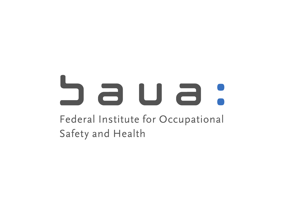# a u a Federal Institute for Occupational Safety and Health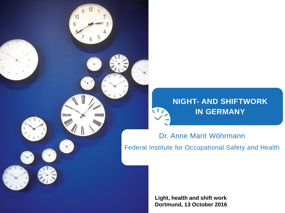

Dr. Anne Marit Wöhrmann Federal Institute for Occupational Safety and Health

9

**Light, health and shift work Dortmund, 13 October 2016**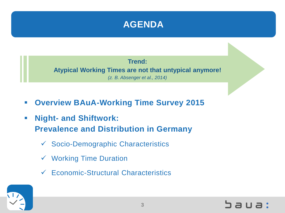

**Trend: Atypical Working Times are not that untypical anymore!**  *(z. B. Absenger et al., 2014)*

- **Overview BAuA-Working Time Survey 2015**
- **Night- and Shiftwork: Prevalence and Distribution in Germany**
	- Socio-Demographic Characteristics
	- Working Time Duration
	- Economic-Structural Characteristics

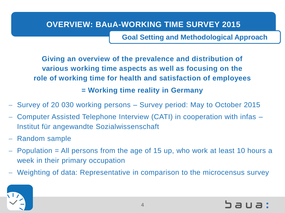## **OVERVIEW: BAuA-WORKING TIME SURVEY 2015**

**Goal Setting and Methodological Approach**

**Giving an overview of the prevalence and distribution of various working time aspects as well as focusing on the role of working time for health and satisfaction of employees = Working time reality in Germany**

- Survey of 20 030 working persons Survey period: May to October 2015
- Computer Assisted Telephone Interview (CATI) in cooperation with infas Institut für angewandte Sozialwissenschaft
- Random sample
- $-$  Population  $=$  All persons from the age of 15 up, who work at least 10 hours a week in their primary occupation
- Weighting of data: Representative in comparison to the microcensus survey

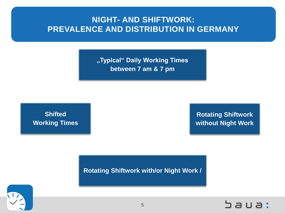## **NIGHT- AND SHIFTWORK: PREVALENCE AND DISTRIBUTION IN GERMANY**

**"Typical" Daily Working Times between 7 am & 7 pm**

**Shifted Working Times** 

**Rotating Shiftwork without Night Work**

**Rotating Shiftwork with/or Night Work /**



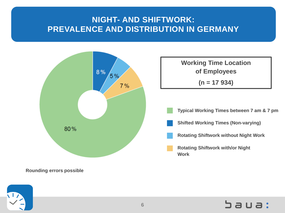# **NIGHT- AND SHIFTWORK: PREVALENCE AND DISTRIBUTION IN GERMANY**



**Rounding errors possible**

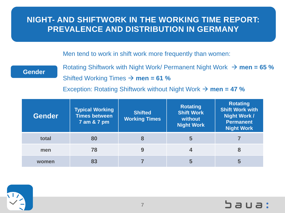Men tend to work in shift work more frequently than women:

#### **Gender**

Rotating Shiftwork with Night Work/ Permanent Night Work  $\rightarrow$  men = 65 % Shifted Working Times  $\rightarrow$  **men = 61 %** 

Exception: Rotating Shiftwork without Night Work  $\rightarrow$  men = 47 %

| <b>Gender</b> | <b>Typical Working</b><br><b>Times between</b><br>7 am & 7 pm | <b>Shifted</b><br><b>Working Times</b> | <b>Rotating</b><br><b>Shift Work</b><br>without<br><b>Night Work</b> | <b>Rotating</b><br><b>Shift Work with</b><br><b>Night Work /</b><br><b>Permanent</b><br>Night Work |
|---------------|---------------------------------------------------------------|----------------------------------------|----------------------------------------------------------------------|----------------------------------------------------------------------------------------------------|
| total         | 80                                                            | 8                                      | 5                                                                    |                                                                                                    |
| men           | 78                                                            | 9                                      | 4                                                                    | 8                                                                                                  |
| women         | 83                                                            |                                        | 5                                                                    |                                                                                                    |

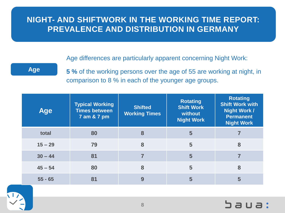Age differences are particularly apparent concerning Night Work:

## **Age**

**5 %** of the working persons over the age of 55 are working at night, in comparison to 8 % in each of the younger age groups.

| <b>Age</b> | <b>Typical Working</b><br><b>Times between</b><br>7 am & 7 pm | <b>Shifted</b><br><b>Working Times</b> | <b>Rotating</b><br><b>Shift Work</b><br>without<br><b>Night Work</b> | <b>Rotating</b><br><b>Shift Work with</b><br><b>Night Work /</b><br><b>Permanent</b><br><b>Night Work</b> |
|------------|---------------------------------------------------------------|----------------------------------------|----------------------------------------------------------------------|-----------------------------------------------------------------------------------------------------------|
| total      | 80                                                            | 8                                      | 5                                                                    |                                                                                                           |
| $15 - 29$  | 79                                                            | 8                                      | 5                                                                    | 8                                                                                                         |
| $30 - 44$  | 81                                                            |                                        | 5                                                                    |                                                                                                           |
| $45 - 54$  | 80                                                            | 8                                      | 5                                                                    | 8                                                                                                         |
| $55 - 65$  | 81                                                            | 9                                      | 5                                                                    | 5                                                                                                         |

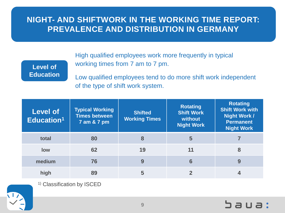**Level of Education** High qualified employees work more frequently in typical working times from 7 am to 7 pm.

Low qualified employees tend to do more shift work independent of the type of shift work system.

| <b>Level of</b><br>Education <sup>1</sup> | <b>Typical Working</b><br><b>Times between</b><br>7 am & 7 pm | <b>Shifted</b><br><b>Working Times</b> | <b>Rotating</b><br><b>Shift Work</b><br>without<br><b>Night Work</b> | <b>Rotating</b><br><b>Shift Work with</b><br><b>Night Work /</b><br><b>Permanent</b><br><b>Night Work</b> |
|-------------------------------------------|---------------------------------------------------------------|----------------------------------------|----------------------------------------------------------------------|-----------------------------------------------------------------------------------------------------------|
| total                                     | 80                                                            | 8                                      | 5                                                                    |                                                                                                           |
| low                                       | 62                                                            | 19                                     | 11                                                                   | 8                                                                                                         |
| medium                                    | 76                                                            | 9                                      | 6                                                                    | 9                                                                                                         |
| high                                      | 89                                                            | 5                                      |                                                                      |                                                                                                           |

1) Classification by ISCED

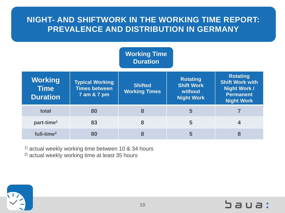|                                                  |                                                               | <b>Working Time</b><br><b>Duration</b> |                                                                      |                                                                                                           |
|--------------------------------------------------|---------------------------------------------------------------|----------------------------------------|----------------------------------------------------------------------|-----------------------------------------------------------------------------------------------------------|
| <b>Working</b><br><b>Time</b><br><b>Duration</b> | <b>Typical Working</b><br><b>Times between</b><br>7 am & 7 pm | <b>Shifted</b><br><b>Working Times</b> | <b>Rotating</b><br><b>Shift Work</b><br>without<br><b>Night Work</b> | <b>Rotating</b><br><b>Shift Work with</b><br><b>Night Work /</b><br><b>Permanent</b><br><b>Night Work</b> |
| total                                            | 80                                                            | 8                                      | 5                                                                    |                                                                                                           |
| part-time <sup>1</sup>                           | 83                                                            | 8                                      | 5                                                                    | 4                                                                                                         |
| full-time <sup>2</sup>                           | 80                                                            | 8                                      | 5                                                                    | 8                                                                                                         |

<sup>1)</sup> actual weekly working time between 10 & 34 hours

2) actual weekly working time at least 35 hours

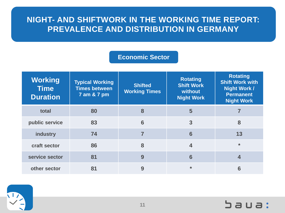### **Economic Sector**

| <b>Working</b><br><b>Time</b><br><b>Duration</b> | <b>Typical Working</b><br><b>Times between</b><br>7 am & 7 pm | <b>Shifted</b><br><b>Working Times</b> | <b>Rotating</b><br><b>Shift Work</b><br>without<br><b>Night Work</b> | <b>Rotating</b><br><b>Shift Work with</b><br><b>Night Work /</b><br><b>Permanent</b><br><b>Night Work</b> |
|--------------------------------------------------|---------------------------------------------------------------|----------------------------------------|----------------------------------------------------------------------|-----------------------------------------------------------------------------------------------------------|
| total                                            | 80                                                            | 8                                      | 5                                                                    |                                                                                                           |
| public service                                   | 83                                                            | 6                                      | 3                                                                    | 8                                                                                                         |
| industry                                         | 74                                                            |                                        | 6                                                                    | 13                                                                                                        |
| craft sector                                     | 86                                                            | 8                                      | 4                                                                    | $\star$                                                                                                   |
| service sector                                   | 81                                                            | 9                                      | 6                                                                    |                                                                                                           |
| other sector                                     | 81                                                            | 9                                      | $\star$                                                              | 6                                                                                                         |